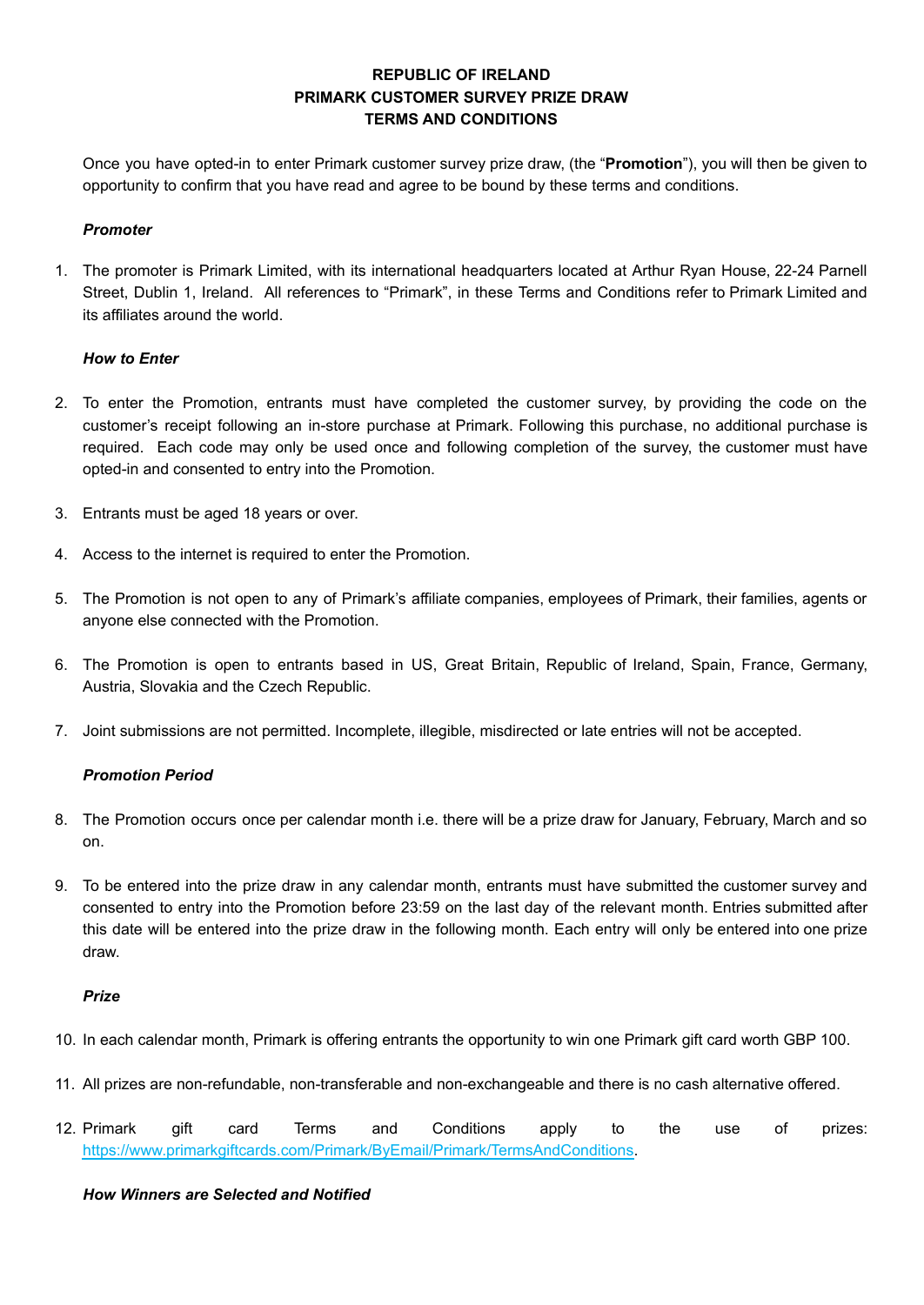# **REPUBLIC OF IRELAND PRIMARK CUSTOMER SURVEY PRIZE DRAW TERMS AND CONDITIONS**

Once you have opted-in to enter Primark customer survey prize draw, (the "**Promotion**"), you will then be given to opportunity to confirm that you have read and agree to be bound by these terms and conditions.

## *Promoter*

1. The promoter is Primark Limited, with its international headquarters located at Arthur Ryan House, 22-24 Parnell Street, Dublin 1, Ireland. All references to "Primark", in these Terms and Conditions refer to Primark Limited and its affiliates around the world.

## *How to Enter*

- 2. To enter the Promotion, entrants must have completed the customer survey, by providing the code on the customer's receipt following an in-store purchase at Primark. Following this purchase, no additional purchase is required. Each code may only be used once and following completion of the survey, the customer must have opted-in and consented to entry into the Promotion.
- 3. Entrants must be aged 18 years or over.
- 4. Access to the internet is required to enter the Promotion.
- 5. The Promotion is not open to any of Primark's affiliate companies, employees of Primark, their families, agents or anyone else connected with the Promotion.
- 6. The Promotion is open to entrants based in US, Great Britain, Republic of Ireland, Spain, France, Germany, Austria, Slovakia and the Czech Republic.
- 7. Joint submissions are not permitted. Incomplete, illegible, misdirected or late entries will not be accepted.

# *Promotion Period*

- 8. The Promotion occurs once per calendar month i.e. there will be a prize draw for January, February, March and so on.
- 9. To be entered into the prize draw in any calendar month, entrants must have submitted the customer survey and consented to entry into the Promotion before 23:59 on the last day of the relevant month. Entries submitted after this date will be entered into the prize draw in the following month. Each entry will only be entered into one prize draw.

#### *Prize*

- 10. In each calendar month, Primark is offering entrants the opportunity to win one Primark gift card worth GBP 100.
- 11. All prizes are non-refundable, non-transferable and non-exchangeable and there is no cash alternative offered.
- 12. Primark gift card Terms and Conditions apply to the use of prizes: [https://www.primarkgiftcards.com/Primark/ByEmail/Primark/TermsAndConditions.](https://www.primarkgiftcards.com/Primark/ByEmail/Primark/TermsAndConditions)

### *How Winners are Selected and Notified*